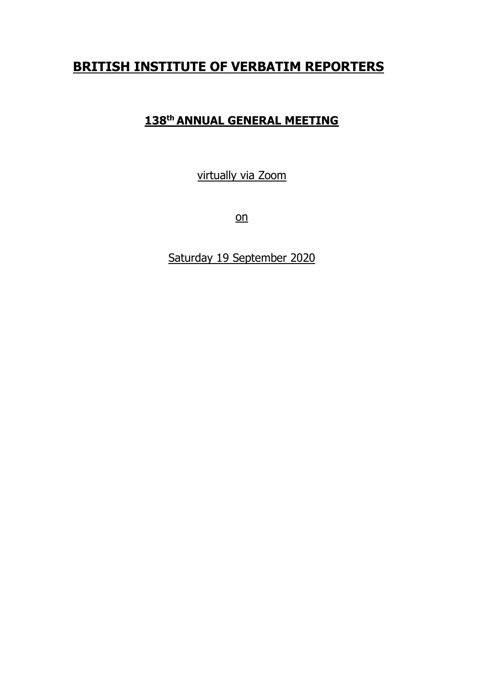# **BRITISH INSTITUTE OF VERBATIM REPORTERS**

## **138th ANNUAL GENERAL MEETING**

virtually via Zoom

on

Saturday 19 September 2020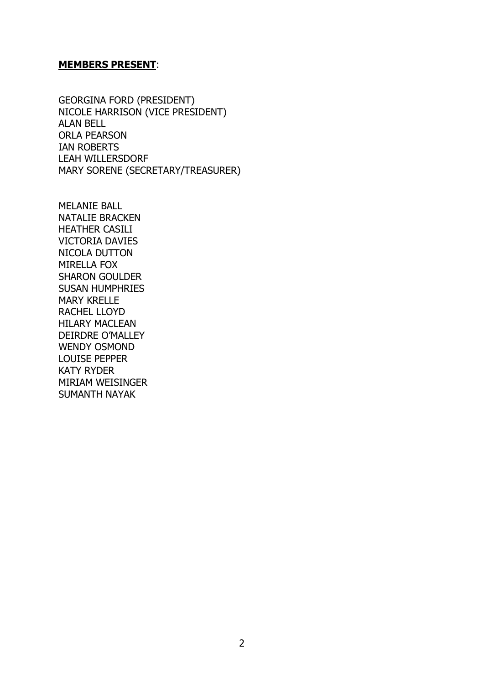#### **MEMBERS PRESENT**:

GEORGINA FORD (PRESIDENT) NICOLE HARRISON (VICE PRESIDENT) ALAN BELL ORLA PEARSON IAN ROBERTS LEAH WILLERSDORF MARY SORENE (SECRETARY/TREASURER)

MELANIE BALL NATALIE BRACKEN HEATHER CASILI VICTORIA DAVIES NICOLA DUTTON MIRELLA FOX SHARON GOULDER SUSAN HUMPHRIES MARY KRELLE RACHEL LLOYD HILARY MACLEAN DEIRDRE O'MALLEY WENDY OSMOND LOUISE PEPPER KATY RYDER MIRIAM WEISINGER SUMANTH NAYAK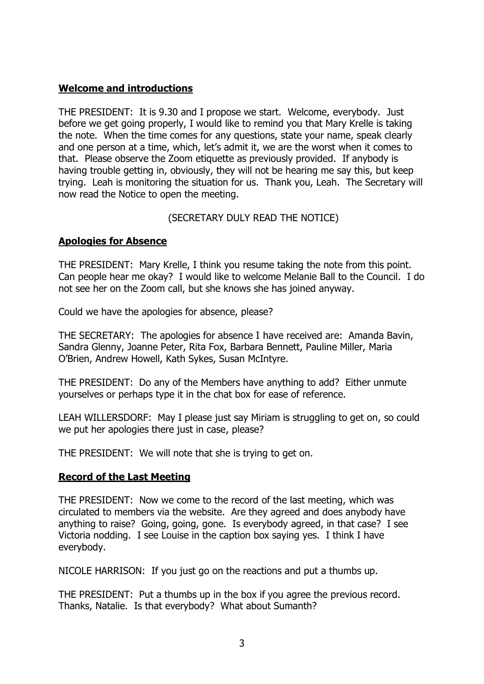## **Welcome and introductions**

THE PRESIDENT: It is 9.30 and I propose we start. Welcome, everybody. Just before we get going properly, I would like to remind you that Mary Krelle is taking the note. When the time comes for any questions, state your name, speak clearly and one person at a time, which, let's admit it, we are the worst when it comes to that. Please observe the Zoom etiquette as previously provided. If anybody is having trouble getting in, obviously, they will not be hearing me say this, but keep trying. Leah is monitoring the situation for us. Thank you, Leah. The Secretary will now read the Notice to open the meeting.

## (SECRETARY DULY READ THE NOTICE)

## **Apologies for Absence**

THE PRESIDENT: Mary Krelle, I think you resume taking the note from this point. Can people hear me okay? I would like to welcome Melanie Ball to the Council. I do not see her on the Zoom call, but she knows she has joined anyway.

Could we have the apologies for absence, please?

THE SECRETARY: The apologies for absence I have received are: Amanda Bavin, Sandra Glenny, Joanne Peter, Rita Fox, Barbara Bennett, Pauline Miller, Maria O'Brien, Andrew Howell, Kath Sykes, Susan McIntyre.

THE PRESIDENT: Do any of the Members have anything to add? Either unmute yourselves or perhaps type it in the chat box for ease of reference.

LEAH WILLERSDORF: May I please just say Miriam is struggling to get on, so could we put her apologies there just in case, please?

THE PRESIDENT: We will note that she is trying to get on.

## **Record of the Last Meeting**

THE PRESIDENT: Now we come to the record of the last meeting, which was circulated to members via the website. Are they agreed and does anybody have anything to raise? Going, going, gone. Is everybody agreed, in that case? I see Victoria nodding. I see Louise in the caption box saying yes. I think I have everybody.

NICOLE HARRISON: If you just go on the reactions and put a thumbs up.

THE PRESIDENT: Put a thumbs up in the box if you agree the previous record. Thanks, Natalie. Is that everybody? What about Sumanth?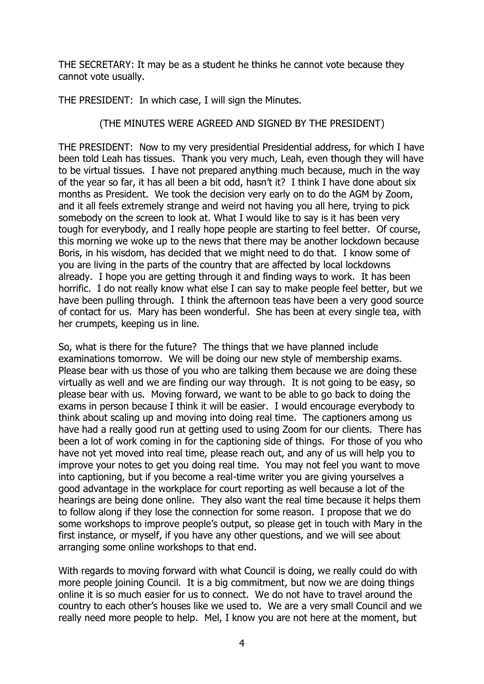THE SECRETARY: It may be as a student he thinks he cannot vote because they cannot vote usually.

THE PRESIDENT: In which case, I will sign the Minutes.

## (THE MINUTES WERE AGREED AND SIGNED BY THE PRESIDENT)

THE PRESIDENT: Now to my very presidential Presidential address, for which I have been told Leah has tissues. Thank you very much, Leah, even though they will have to be virtual tissues. I have not prepared anything much because, much in the way of the year so far, it has all been a bit odd, hasn't it? I think I have done about six months as President. We took the decision very early on to do the AGM by Zoom, and it all feels extremely strange and weird not having you all here, trying to pick somebody on the screen to look at. What I would like to say is it has been very tough for everybody, and I really hope people are starting to feel better. Of course, this morning we woke up to the news that there may be another lockdown because Boris, in his wisdom, has decided that we might need to do that. I know some of you are living in the parts of the country that are affected by local lockdowns already. I hope you are getting through it and finding ways to work. It has been horrific. I do not really know what else I can say to make people feel better, but we have been pulling through. I think the afternoon teas have been a very good source of contact for us. Mary has been wonderful. She has been at every single tea, with her crumpets, keeping us in line.

So, what is there for the future? The things that we have planned include examinations tomorrow. We will be doing our new style of membership exams. Please bear with us those of you who are talking them because we are doing these virtually as well and we are finding our way through. It is not going to be easy, so please bear with us. Moving forward, we want to be able to go back to doing the exams in person because I think it will be easier. I would encourage everybody to think about scaling up and moving into doing real time. The captioners among us have had a really good run at getting used to using Zoom for our clients. There has been a lot of work coming in for the captioning side of things. For those of you who have not yet moved into real time, please reach out, and any of us will help you to improve your notes to get you doing real time. You may not feel you want to move into captioning, but if you become a real-time writer you are giving yourselves a good advantage in the workplace for court reporting as well because a lot of the hearings are being done online. They also want the real time because it helps them to follow along if they lose the connection for some reason. I propose that we do some workshops to improve people's output, so please get in touch with Mary in the first instance, or myself, if you have any other questions, and we will see about arranging some online workshops to that end.

With regards to moving forward with what Council is doing, we really could do with more people joining Council. It is a big commitment, but now we are doing things online it is so much easier for us to connect. We do not have to travel around the country to each other's houses like we used to. We are a very small Council and we really need more people to help. Mel, I know you are not here at the moment, but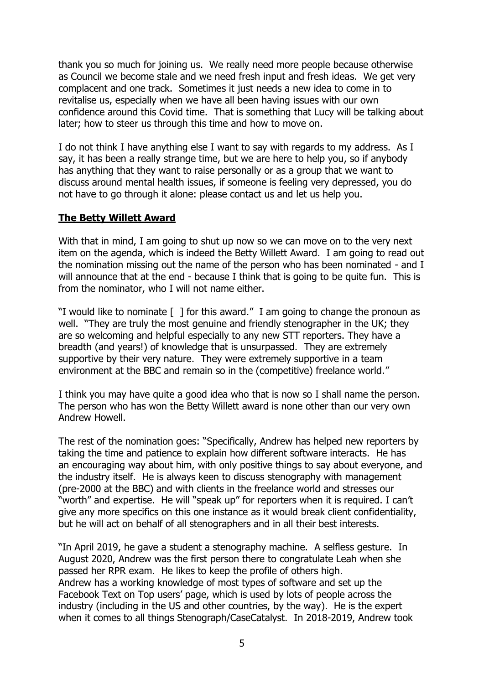thank you so much for joining us. We really need more people because otherwise as Council we become stale and we need fresh input and fresh ideas. We get very complacent and one track. Sometimes it just needs a new idea to come in to revitalise us, especially when we have all been having issues with our own confidence around this Covid time. That is something that Lucy will be talking about later; how to steer us through this time and how to move on.

I do not think I have anything else I want to say with regards to my address. As I say, it has been a really strange time, but we are here to help you, so if anybody has anything that they want to raise personally or as a group that we want to discuss around mental health issues, if someone is feeling very depressed, you do not have to go through it alone: please contact us and let us help you.

#### **The Betty Willett Award**

With that in mind, I am going to shut up now so we can move on to the very next item on the agenda, which is indeed the Betty Willett Award. I am going to read out the nomination missing out the name of the person who has been nominated - and I will announce that at the end - because I think that is going to be quite fun. This is from the nominator, who I will not name either.

"I would like to nominate [ ] for this award." I am going to change the pronoun as well. "They are truly the most genuine and friendly stenographer in the UK; they are so welcoming and helpful especially to any new STT reporters. They have a breadth (and years!) of knowledge that is unsurpassed. They are extremely supportive by their very nature. They were extremely supportive in a team environment at the BBC and remain so in the (competitive) freelance world."

I think you may have quite a good idea who that is now so I shall name the person. The person who has won the Betty Willett award is none other than our very own Andrew Howell.

The rest of the nomination goes: "Specifically, Andrew has helped new reporters by taking the time and patience to explain how different software interacts. He has an encouraging way about him, with only positive things to say about everyone, and the industry itself. He is always keen to discuss stenography with management (pre-2000 at the BBC) and with clients in the freelance world and stresses our "worth" and expertise. He will "speak up" for reporters when it is required. I can't give any more specifics on this one instance as it would break client confidentiality, but he will act on behalf of all stenographers and in all their best interests.

"In April 2019, he gave a student a stenography machine. A selfless gesture. In August 2020, Andrew was the first person there to congratulate Leah when she passed her RPR exam. He likes to keep the profile of others high. Andrew has a working knowledge of most types of software and set up the Facebook Text on Top users' page, which is used by lots of people across the industry (including in the US and other countries, by the way). He is the expert when it comes to all things Stenograph/CaseCatalyst. In 2018-2019, Andrew took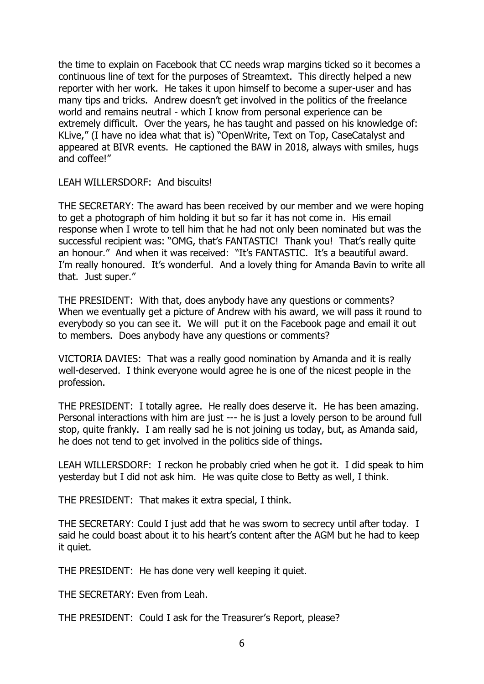the time to explain on Facebook that CC needs wrap margins ticked so it becomes a continuous line of text for the purposes of Streamtext. This directly helped a new reporter with her work. He takes it upon himself to become a super-user and has many tips and tricks. Andrew doesn't get involved in the politics of the freelance world and remains neutral - which I know from personal experience can be extremely difficult. Over the years, he has taught and passed on his knowledge of: KLive," (I have no idea what that is) "OpenWrite, Text on Top, CaseCatalyst and appeared at BIVR events. He captioned the BAW in 2018, always with smiles, hugs and coffee!"

LEAH WILLERSDORF: And biscuits!

THE SECRETARY: The award has been received by our member and we were hoping to get a photograph of him holding it but so far it has not come in. His email response when I wrote to tell him that he had not only been nominated but was the successful recipient was: "OMG, that's FANTASTIC! Thank you! That's really quite an honour." And when it was received: "It's FANTASTIC. It's a beautiful award. I'm really honoured. It's wonderful. And a lovely thing for Amanda Bavin to write all that. Just super."

THE PRESIDENT: With that, does anybody have any questions or comments? When we eventually get a picture of Andrew with his award, we will pass it round to everybody so you can see it. We will put it on the Facebook page and email it out to members. Does anybody have any questions or comments?

VICTORIA DAVIES: That was a really good nomination by Amanda and it is really well-deserved. I think everyone would agree he is one of the nicest people in the profession.

THE PRESIDENT: I totally agree. He really does deserve it. He has been amazing. Personal interactions with him are just --- he is just a lovely person to be around full stop, quite frankly. I am really sad he is not joining us today, but, as Amanda said, he does not tend to get involved in the politics side of things.

LEAH WILLERSDORF: I reckon he probably cried when he got it. I did speak to him yesterday but I did not ask him. He was quite close to Betty as well, I think.

THE PRESIDENT: That makes it extra special, I think.

THE SECRETARY: Could I just add that he was sworn to secrecy until after today. I said he could boast about it to his heart's content after the AGM but he had to keep it quiet.

THE PRESIDENT: He has done very well keeping it quiet.

THE SECRETARY: Even from Leah.

THE PRESIDENT: Could I ask for the Treasurer's Report, please?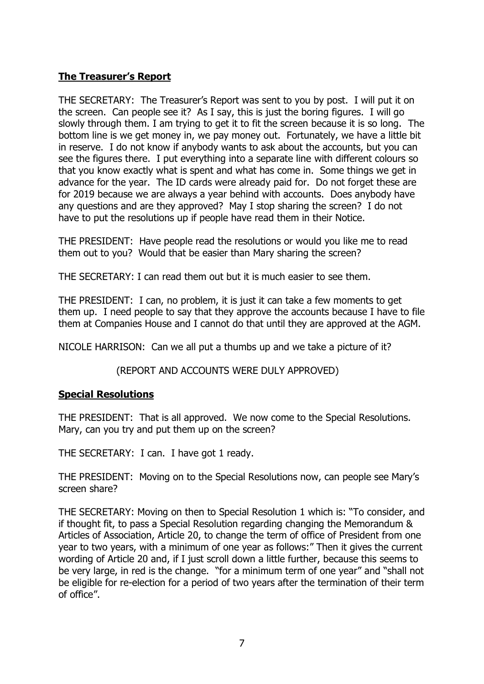## **The Treasurer's Report**

THE SECRETARY: The Treasurer's Report was sent to you by post. I will put it on the screen. Can people see it? As I say, this is just the boring figures. I will go slowly through them. I am trying to get it to fit the screen because it is so long. The bottom line is we get money in, we pay money out. Fortunately, we have a little bit in reserve. I do not know if anybody wants to ask about the accounts, but you can see the figures there. I put everything into a separate line with different colours so that you know exactly what is spent and what has come in. Some things we get in advance for the year. The ID cards were already paid for. Do not forget these are for 2019 because we are always a year behind with accounts. Does anybody have any questions and are they approved? May I stop sharing the screen? I do not have to put the resolutions up if people have read them in their Notice.

THE PRESIDENT: Have people read the resolutions or would you like me to read them out to you? Would that be easier than Mary sharing the screen?

THE SECRETARY: I can read them out but it is much easier to see them.

THE PRESIDENT: I can, no problem, it is just it can take a few moments to get them up. I need people to say that they approve the accounts because I have to file them at Companies House and I cannot do that until they are approved at the AGM.

NICOLE HARRISON: Can we all put a thumbs up and we take a picture of it?

## (REPORT AND ACCOUNTS WERE DULY APPROVED)

## **Special Resolutions**

THE PRESIDENT: That is all approved. We now come to the Special Resolutions. Mary, can you try and put them up on the screen?

THE SECRETARY: I can. I have got 1 ready.

THE PRESIDENT: Moving on to the Special Resolutions now, can people see Mary's screen share?

THE SECRETARY: Moving on then to Special Resolution 1 which is: "To consider, and if thought fit, to pass a Special Resolution regarding changing the Memorandum & Articles of Association, Article 20, to change the term of office of President from one year to two years, with a minimum of one year as follows:" Then it gives the current wording of Article 20 and, if I just scroll down a little further, because this seems to be very large, in red is the change. "for a minimum term of one year" and "shall not be eligible for re-election for a period of two years after the termination of their term of office".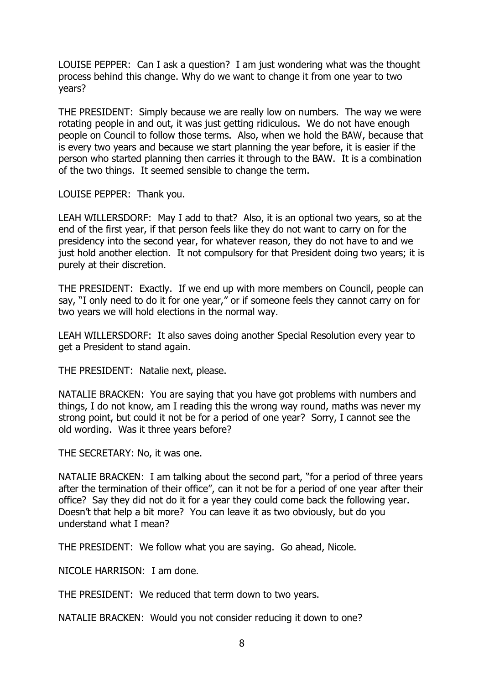LOUISE PEPPER: Can I ask a question? I am just wondering what was the thought process behind this change. Why do we want to change it from one year to two years?

THE PRESIDENT: Simply because we are really low on numbers. The way we were rotating people in and out, it was just getting ridiculous. We do not have enough people on Council to follow those terms. Also, when we hold the BAW, because that is every two years and because we start planning the year before, it is easier if the person who started planning then carries it through to the BAW. It is a combination of the two things. It seemed sensible to change the term.

LOUISE PEPPER: Thank you.

LEAH WILLERSDORF: May I add to that? Also, it is an optional two years, so at the end of the first year, if that person feels like they do not want to carry on for the presidency into the second year, for whatever reason, they do not have to and we just hold another election. It not compulsory for that President doing two years; it is purely at their discretion.

THE PRESIDENT: Exactly. If we end up with more members on Council, people can say, "I only need to do it for one year," or if someone feels they cannot carry on for two years we will hold elections in the normal way.

LEAH WILLERSDORF: It also saves doing another Special Resolution every year to get a President to stand again.

THE PRESIDENT: Natalie next, please.

NATALIE BRACKEN: You are saying that you have got problems with numbers and things, I do not know, am I reading this the wrong way round, maths was never my strong point, but could it not be for a period of one year? Sorry, I cannot see the old wording. Was it three years before?

THE SECRETARY: No, it was one.

NATALIE BRACKEN: I am talking about the second part, "for a period of three years after the termination of their office", can it not be for a period of one year after their office? Say they did not do it for a year they could come back the following year. Doesn't that help a bit more? You can leave it as two obviously, but do you understand what I mean?

THE PRESIDENT: We follow what you are saying. Go ahead, Nicole.

NICOLE HARRISON: I am done.

THE PRESIDENT: We reduced that term down to two years.

NATALIE BRACKEN: Would you not consider reducing it down to one?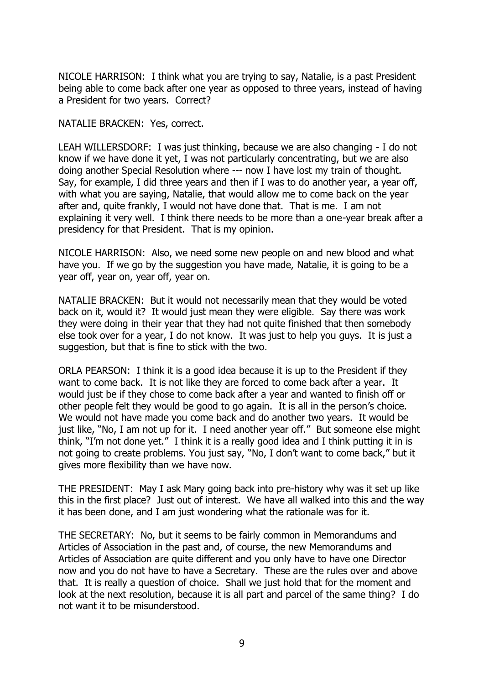NICOLE HARRISON: I think what you are trying to say, Natalie, is a past President being able to come back after one year as opposed to three years, instead of having a President for two years. Correct?

NATALIE BRACKEN: Yes, correct.

LEAH WILLERSDORF: I was just thinking, because we are also changing - I do not know if we have done it yet, I was not particularly concentrating, but we are also doing another Special Resolution where --- now I have lost my train of thought. Say, for example, I did three years and then if I was to do another year, a year off, with what you are saying, Natalie, that would allow me to come back on the year after and, quite frankly, I would not have done that. That is me. I am not explaining it very well. I think there needs to be more than a one-year break after a presidency for that President. That is my opinion.

NICOLE HARRISON: Also, we need some new people on and new blood and what have you. If we go by the suggestion you have made, Natalie, it is going to be a year off, year on, year off, year on.

NATALIE BRACKEN: But it would not necessarily mean that they would be voted back on it, would it? It would just mean they were eligible. Say there was work they were doing in their year that they had not quite finished that then somebody else took over for a year, I do not know. It was just to help you guys. It is just a suggestion, but that is fine to stick with the two.

ORLA PEARSON: I think it is a good idea because it is up to the President if they want to come back. It is not like they are forced to come back after a year. It would just be if they chose to come back after a year and wanted to finish off or other people felt they would be good to go again. It is all in the person's choice. We would not have made you come back and do another two years. It would be just like, "No, I am not up for it. I need another year off." But someone else might think, "I'm not done yet." I think it is a really good idea and I think putting it in is not going to create problems. You just say, "No, I don't want to come back," but it gives more flexibility than we have now.

THE PRESIDENT: May I ask Mary going back into pre-history why was it set up like this in the first place? Just out of interest. We have all walked into this and the way it has been done, and I am just wondering what the rationale was for it.

THE SECRETARY: No, but it seems to be fairly common in Memorandums and Articles of Association in the past and, of course, the new Memorandums and Articles of Association are quite different and you only have to have one Director now and you do not have to have a Secretary. These are the rules over and above that. It is really a question of choice. Shall we just hold that for the moment and look at the next resolution, because it is all part and parcel of the same thing? I do not want it to be misunderstood.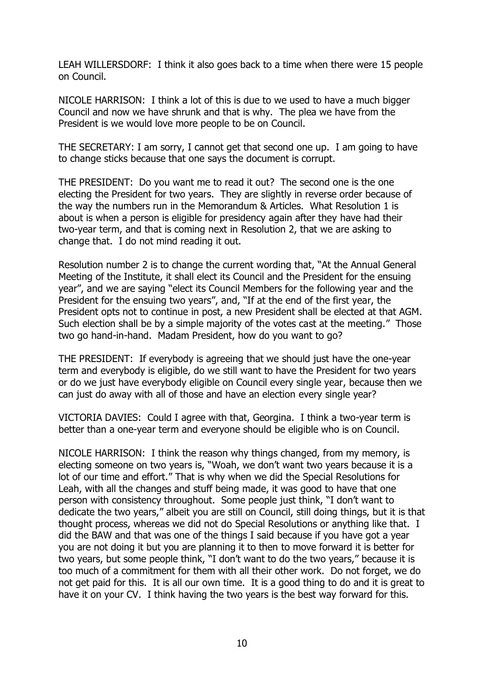LEAH WILLERSDORF: I think it also goes back to a time when there were 15 people on Council.

NICOLE HARRISON: I think a lot of this is due to we used to have a much bigger Council and now we have shrunk and that is why. The plea we have from the President is we would love more people to be on Council.

THE SECRETARY: I am sorry, I cannot get that second one up. I am going to have to change sticks because that one says the document is corrupt.

THE PRESIDENT: Do you want me to read it out? The second one is the one electing the President for two years. They are slightly in reverse order because of the way the numbers run in the Memorandum & Articles. What Resolution 1 is about is when a person is eligible for presidency again after they have had their two-year term, and that is coming next in Resolution 2, that we are asking to change that. I do not mind reading it out.

Resolution number 2 is to change the current wording that, "At the Annual General Meeting of the Institute, it shall elect its Council and the President for the ensuing year", and we are saying "elect its Council Members for the following year and the President for the ensuing two years", and, "If at the end of the first year, the President opts not to continue in post, a new President shall be elected at that AGM. Such election shall be by a simple majority of the votes cast at the meeting." Those two go hand-in-hand. Madam President, how do you want to go?

THE PRESIDENT: If everybody is agreeing that we should just have the one-year term and everybody is eligible, do we still want to have the President for two years or do we just have everybody eligible on Council every single year, because then we can just do away with all of those and have an election every single year?

VICTORIA DAVIES: Could I agree with that, Georgina. I think a two-year term is better than a one-year term and everyone should be eligible who is on Council.

NICOLE HARRISON: I think the reason why things changed, from my memory, is electing someone on two years is, "Woah, we don't want two years because it is a lot of our time and effort." That is why when we did the Special Resolutions for Leah, with all the changes and stuff being made, it was good to have that one person with consistency throughout. Some people just think, "I don't want to dedicate the two years," albeit you are still on Council, still doing things, but it is that thought process, whereas we did not do Special Resolutions or anything like that. I did the BAW and that was one of the things I said because if you have got a year you are not doing it but you are planning it to then to move forward it is better for two years, but some people think, "I don't want to do the two years," because it is too much of a commitment for them with all their other work. Do not forget, we do not get paid for this. It is all our own time. It is a good thing to do and it is great to have it on your CV. I think having the two years is the best way forward for this.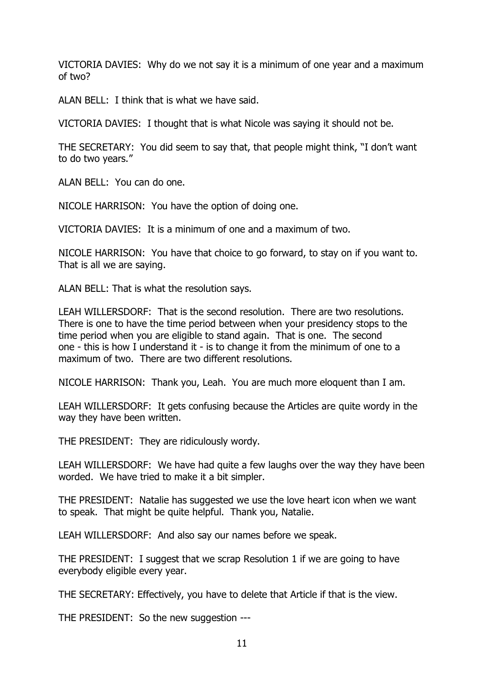VICTORIA DAVIES: Why do we not say it is a minimum of one year and a maximum of two?

ALAN BELL: I think that is what we have said.

VICTORIA DAVIES: I thought that is what Nicole was saying it should not be.

THE SECRETARY: You did seem to say that, that people might think, "I don't want to do two years."

ALAN BELL: You can do one.

NICOLE HARRISON: You have the option of doing one.

VICTORIA DAVIES: It is a minimum of one and a maximum of two.

NICOLE HARRISON: You have that choice to go forward, to stay on if you want to. That is all we are saying.

ALAN BELL: That is what the resolution says.

LEAH WILLERSDORF: That is the second resolution. There are two resolutions. There is one to have the time period between when your presidency stops to the time period when you are eligible to stand again. That is one. The second one - this is how I understand it - is to change it from the minimum of one to a maximum of two. There are two different resolutions.

NICOLE HARRISON: Thank you, Leah. You are much more eloquent than I am.

LEAH WILLERSDORF: It gets confusing because the Articles are quite wordy in the way they have been written.

THE PRESIDENT: They are ridiculously wordy.

LEAH WILLERSDORF: We have had quite a few laughs over the way they have been worded. We have tried to make it a bit simpler.

THE PRESIDENT: Natalie has suggested we use the love heart icon when we want to speak. That might be quite helpful. Thank you, Natalie.

LEAH WILLERSDORF: And also say our names before we speak.

THE PRESIDENT: I suggest that we scrap Resolution 1 if we are going to have everybody eligible every year.

THE SECRETARY: Effectively, you have to delete that Article if that is the view.

THE PRESIDENT: So the new suggestion ---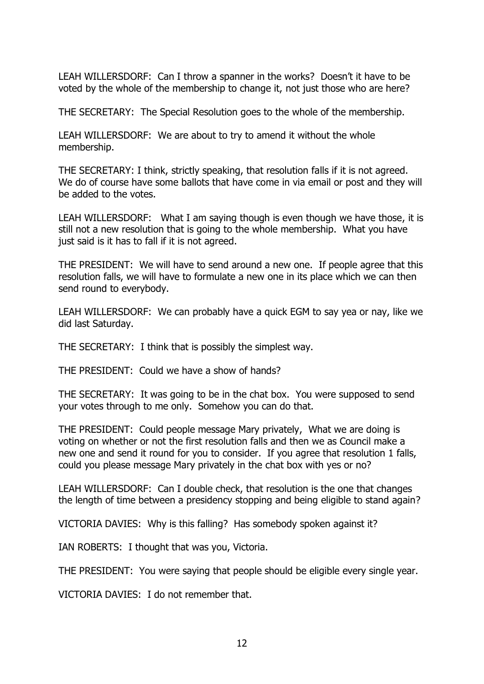LEAH WILLERSDORF: Can I throw a spanner in the works? Doesn't it have to be voted by the whole of the membership to change it, not just those who are here?

THE SECRETARY: The Special Resolution goes to the whole of the membership.

LEAH WILLERSDORF: We are about to try to amend it without the whole membership.

THE SECRETARY: I think, strictly speaking, that resolution falls if it is not agreed. We do of course have some ballots that have come in via email or post and they will be added to the votes.

LEAH WILLERSDORF: What I am saying though is even though we have those, it is still not a new resolution that is going to the whole membership. What you have just said is it has to fall if it is not agreed.

THE PRESIDENT: We will have to send around a new one. If people agree that this resolution falls, we will have to formulate a new one in its place which we can then send round to everybody.

LEAH WILLERSDORF: We can probably have a quick EGM to say yea or nay, like we did last Saturday.

THE SECRETARY: I think that is possibly the simplest way.

THE PRESIDENT: Could we have a show of hands?

THE SECRETARY: It was going to be in the chat box. You were supposed to send your votes through to me only. Somehow you can do that.

THE PRESIDENT: Could people message Mary privately, What we are doing is voting on whether or not the first resolution falls and then we as Council make a new one and send it round for you to consider. If you agree that resolution 1 falls, could you please message Mary privately in the chat box with yes or no?

LEAH WILLERSDORF: Can I double check, that resolution is the one that changes the length of time between a presidency stopping and being eligible to stand again?

VICTORIA DAVIES: Why is this falling? Has somebody spoken against it?

IAN ROBERTS: I thought that was you, Victoria.

THE PRESIDENT: You were saying that people should be eligible every single year.

VICTORIA DAVIES: I do not remember that.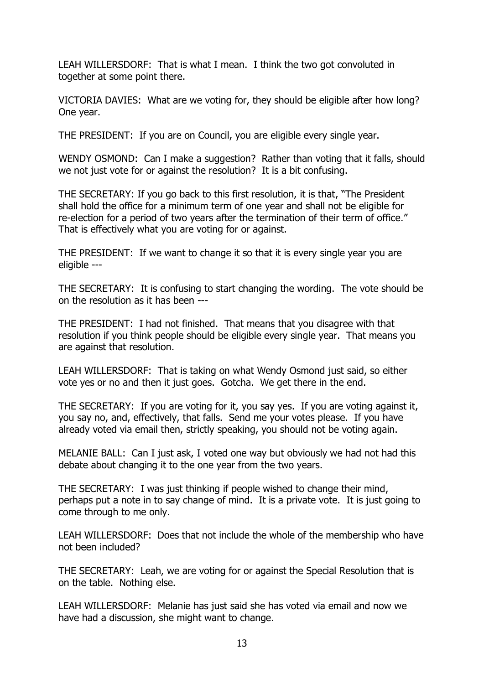LEAH WILLERSDORF: That is what I mean. I think the two got convoluted in together at some point there.

VICTORIA DAVIES: What are we voting for, they should be eligible after how long? One year.

THE PRESIDENT: If you are on Council, you are eligible every single year.

WENDY OSMOND: Can I make a suggestion? Rather than voting that it falls, should we not just vote for or against the resolution? It is a bit confusing.

THE SECRETARY: If you go back to this first resolution, it is that, "The President shall hold the office for a minimum term of one year and shall not be eligible for re-election for a period of two years after the termination of their term of office." That is effectively what you are voting for or against.

THE PRESIDENT: If we want to change it so that it is every single year you are eligible ---

THE SECRETARY: It is confusing to start changing the wording. The vote should be on the resolution as it has been ---

THE PRESIDENT: I had not finished. That means that you disagree with that resolution if you think people should be eligible every single year. That means you are against that resolution.

LEAH WILLERSDORF: That is taking on what Wendy Osmond just said, so either vote yes or no and then it just goes. Gotcha. We get there in the end.

THE SECRETARY: If you are voting for it, you say yes. If you are voting against it, you say no, and, effectively, that falls. Send me your votes please. If you have already voted via email then, strictly speaking, you should not be voting again.

MELANIE BALL: Can I just ask, I voted one way but obviously we had not had this debate about changing it to the one year from the two years.

THE SECRETARY: I was just thinking if people wished to change their mind, perhaps put a note in to say change of mind. It is a private vote. It is just going to come through to me only.

LEAH WILLERSDORF: Does that not include the whole of the membership who have not been included?

THE SECRETARY: Leah, we are voting for or against the Special Resolution that is on the table. Nothing else.

LEAH WILLERSDORF: Melanie has just said she has voted via email and now we have had a discussion, she might want to change.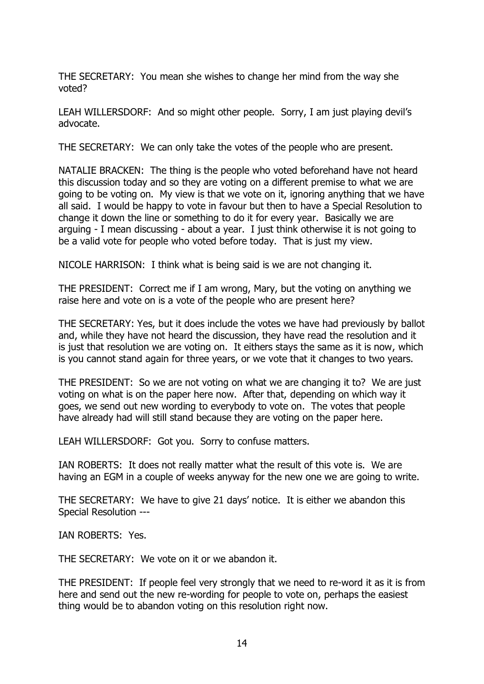THE SECRETARY: You mean she wishes to change her mind from the way she voted?

LEAH WILLERSDORF: And so might other people. Sorry, I am just playing devil's advocate.

THE SECRETARY: We can only take the votes of the people who are present.

NATALIE BRACKEN: The thing is the people who voted beforehand have not heard this discussion today and so they are voting on a different premise to what we are going to be voting on. My view is that we vote on it, ignoring anything that we have all said. I would be happy to vote in favour but then to have a Special Resolution to change it down the line or something to do it for every year. Basically we are arguing - I mean discussing - about a year. I just think otherwise it is not going to be a valid vote for people who voted before today. That is just my view.

NICOLE HARRISON: I think what is being said is we are not changing it.

THE PRESIDENT: Correct me if I am wrong, Mary, but the voting on anything we raise here and vote on is a vote of the people who are present here?

THE SECRETARY: Yes, but it does include the votes we have had previously by ballot and, while they have not heard the discussion, they have read the resolution and it is just that resolution we are voting on. It eithers stays the same as it is now, which is you cannot stand again for three years, or we vote that it changes to two years.

THE PRESIDENT: So we are not voting on what we are changing it to? We are just voting on what is on the paper here now. After that, depending on which way it goes, we send out new wording to everybody to vote on. The votes that people have already had will still stand because they are voting on the paper here.

LEAH WILLERSDORF: Got you. Sorry to confuse matters.

IAN ROBERTS: It does not really matter what the result of this vote is. We are having an EGM in a couple of weeks anyway for the new one we are going to write.

THE SECRETARY: We have to give 21 days' notice. It is either we abandon this Special Resolution ---

IAN ROBERTS: Yes.

THE SECRETARY: We vote on it or we abandon it.

THE PRESIDENT: If people feel very strongly that we need to re-word it as it is from here and send out the new re-wording for people to vote on, perhaps the easiest thing would be to abandon voting on this resolution right now.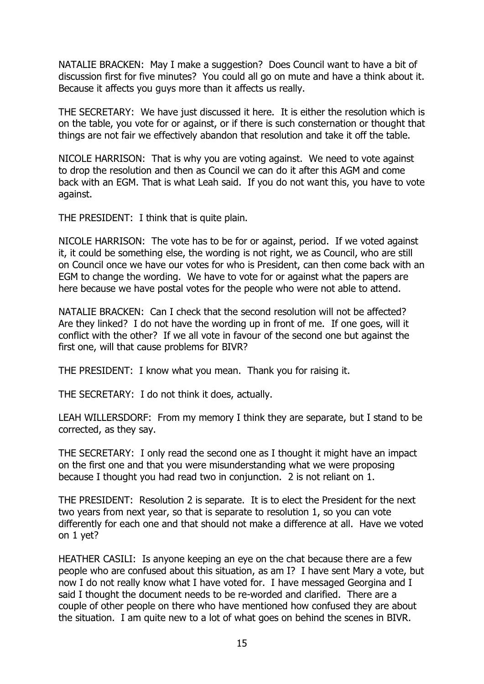NATALIE BRACKEN: May I make a suggestion? Does Council want to have a bit of discussion first for five minutes? You could all go on mute and have a think about it. Because it affects you guys more than it affects us really.

THE SECRETARY: We have just discussed it here. It is either the resolution which is on the table, you vote for or against, or if there is such consternation or thought that things are not fair we effectively abandon that resolution and take it off the table.

NICOLE HARRISON: That is why you are voting against. We need to vote against to drop the resolution and then as Council we can do it after this AGM and come back with an EGM. That is what Leah said. If you do not want this, you have to vote against.

THE PRESIDENT: I think that is quite plain.

NICOLE HARRISON: The vote has to be for or against, period. If we voted against it, it could be something else, the wording is not right, we as Council, who are still on Council once we have our votes for who is President, can then come back with an EGM to change the wording. We have to vote for or against what the papers are here because we have postal votes for the people who were not able to attend.

NATALIE BRACKEN: Can I check that the second resolution will not be affected? Are they linked? I do not have the wording up in front of me. If one goes, will it conflict with the other? If we all vote in favour of the second one but against the first one, will that cause problems for BIVR?

THE PRESIDENT: I know what you mean. Thank you for raising it.

THE SECRETARY: I do not think it does, actually.

LEAH WILLERSDORF: From my memory I think they are separate, but I stand to be corrected, as they say.

THE SECRETARY: I only read the second one as I thought it might have an impact on the first one and that you were misunderstanding what we were proposing because I thought you had read two in conjunction. 2 is not reliant on 1.

THE PRESIDENT: Resolution 2 is separate. It is to elect the President for the next two years from next year, so that is separate to resolution 1, so you can vote differently for each one and that should not make a difference at all. Have we voted on 1 yet?

HEATHER CASILI: Is anyone keeping an eye on the chat because there are a few people who are confused about this situation, as am I? I have sent Mary a vote, but now I do not really know what I have voted for. I have messaged Georgina and I said I thought the document needs to be re-worded and clarified. There are a couple of other people on there who have mentioned how confused they are about the situation. I am quite new to a lot of what goes on behind the scenes in BIVR.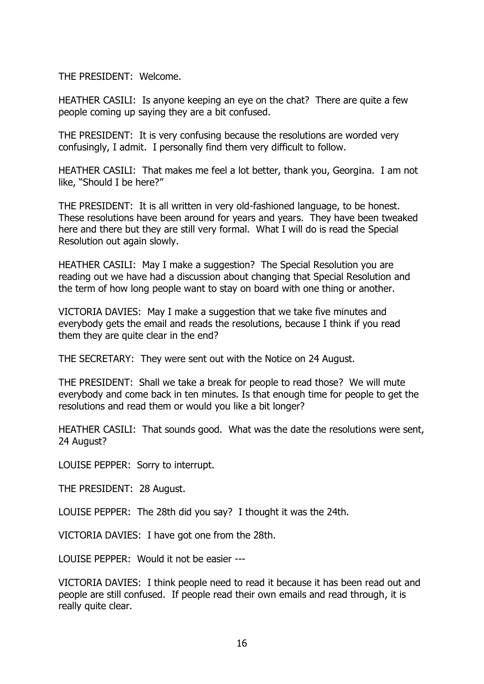THE PRESIDENT: Welcome.

HEATHER CASILI: Is anyone keeping an eye on the chat? There are quite a few people coming up saying they are a bit confused.

THE PRESIDENT: It is very confusing because the resolutions are worded very confusingly, I admit. I personally find them very difficult to follow.

HEATHER CASILI: That makes me feel a lot better, thank you, Georgina. I am not like, "Should I be here?"

THE PRESIDENT: It is all written in very old-fashioned language, to be honest. These resolutions have been around for years and years. They have been tweaked here and there but they are still very formal. What I will do is read the Special Resolution out again slowly.

HEATHER CASILI: May I make a suggestion? The Special Resolution you are reading out we have had a discussion about changing that Special Resolution and the term of how long people want to stay on board with one thing or another.

VICTORIA DAVIES: May I make a suggestion that we take five minutes and everybody gets the email and reads the resolutions, because I think if you read them they are quite clear in the end?

THE SECRETARY: They were sent out with the Notice on 24 August.

THE PRESIDENT: Shall we take a break for people to read those? We will mute everybody and come back in ten minutes. Is that enough time for people to get the resolutions and read them or would you like a bit longer?

HEATHER CASILI: That sounds good. What was the date the resolutions were sent, 24 August?

LOUISE PEPPER: Sorry to interrupt.

THE PRESIDENT: 28 August.

LOUISE PEPPER: The 28th did you say? I thought it was the 24th.

VICTORIA DAVIES: I have got one from the 28th.

LOUISE PEPPER: Would it not be easier ---

VICTORIA DAVIES: I think people need to read it because it has been read out and people are still confused. If people read their own emails and read through, it is really quite clear.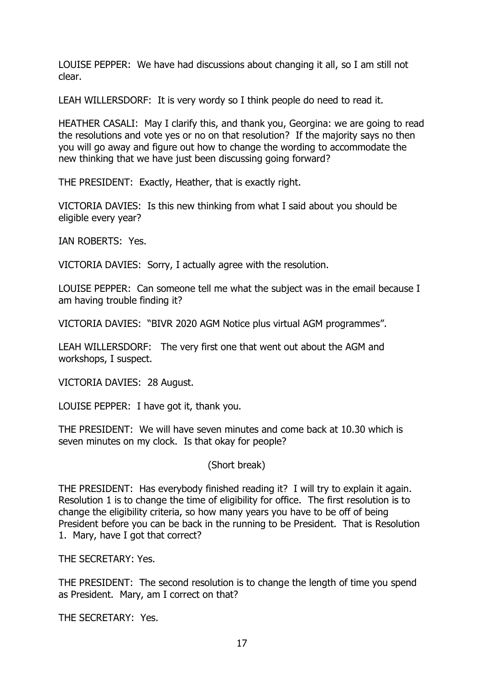LOUISE PEPPER: We have had discussions about changing it all, so I am still not clear.

LEAH WILLERSDORF: It is very wordy so I think people do need to read it.

HEATHER CASALI: May I clarify this, and thank you, Georgina: we are going to read the resolutions and vote yes or no on that resolution? If the majority says no then you will go away and figure out how to change the wording to accommodate the new thinking that we have just been discussing going forward?

THE PRESIDENT: Exactly, Heather, that is exactly right.

VICTORIA DAVIES: Is this new thinking from what I said about you should be eligible every year?

IAN ROBERTS: Yes.

VICTORIA DAVIES: Sorry, I actually agree with the resolution.

LOUISE PEPPER: Can someone tell me what the subject was in the email because I am having trouble finding it?

VICTORIA DAVIES: "BIVR 2020 AGM Notice plus virtual AGM programmes".

LEAH WILLERSDORF: The very first one that went out about the AGM and workshops, I suspect.

VICTORIA DAVIES: 28 August.

LOUISE PEPPER: I have got it, thank you.

THE PRESIDENT: We will have seven minutes and come back at 10.30 which is seven minutes on my clock. Is that okay for people?

(Short break)

THE PRESIDENT: Has everybody finished reading it? I will try to explain it again. Resolution 1 is to change the time of eligibility for office. The first resolution is to change the eligibility criteria, so how many years you have to be off of being President before you can be back in the running to be President. That is Resolution 1. Mary, have I got that correct?

THE SECRETARY: Yes.

THE PRESIDENT: The second resolution is to change the length of time you spend as President. Mary, am I correct on that?

THE SECRETARY: Yes.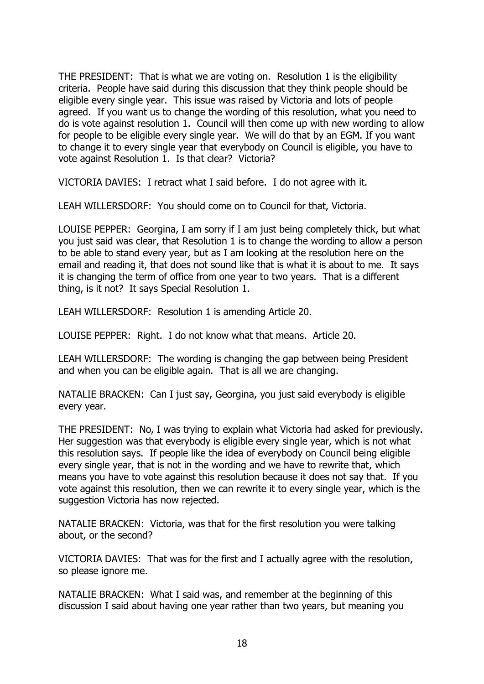THE PRESIDENT: That is what we are voting on. Resolution 1 is the eligibility criteria. People have said during this discussion that they think people should be eligible every single year. This issue was raised by Victoria and lots of people agreed. If you want us to change the wording of this resolution, what you need to do is vote against resolution 1. Council will then come up with new wording to allow for people to be eligible every single year. We will do that by an EGM. If you want to change it to every single year that everybody on Council is eligible, you have to vote against Resolution 1. Is that clear? Victoria?

VICTORIA DAVIES: I retract what I said before. I do not agree with it.

LEAH WILLERSDORF: You should come on to Council for that, Victoria.

LOUISE PEPPER: Georgina, I am sorry if I am just being completely thick, but what you just said was clear, that Resolution 1 is to change the wording to allow a person to be able to stand every year, but as I am looking at the resolution here on the email and reading it, that does not sound like that is what it is about to me. It says it is changing the term of office from one year to two years. That is a different thing, is it not? It says Special Resolution 1.

LEAH WILLERSDORF: Resolution 1 is amending Article 20.

LOUISE PEPPER: Right. I do not know what that means. Article 20.

LEAH WILLERSDORF: The wording is changing the gap between being President and when you can be eligible again. That is all we are changing.

NATALIE BRACKEN: Can I just say, Georgina, you just said everybody is eligible every year.

THE PRESIDENT: No, I was trying to explain what Victoria had asked for previously. Her suggestion was that everybody is eligible every single year, which is not what this resolution says. If people like the idea of everybody on Council being eligible every single year, that is not in the wording and we have to rewrite that, which means you have to vote against this resolution because it does not say that. If you vote against this resolution, then we can rewrite it to every single year, which is the suggestion Victoria has now rejected.

NATALIE BRACKEN: Victoria, was that for the first resolution you were talking about, or the second?

VICTORIA DAVIES: That was for the first and I actually agree with the resolution, so please ignore me.

NATALIE BRACKEN: What I said was, and remember at the beginning of this discussion I said about having one year rather than two years, but meaning you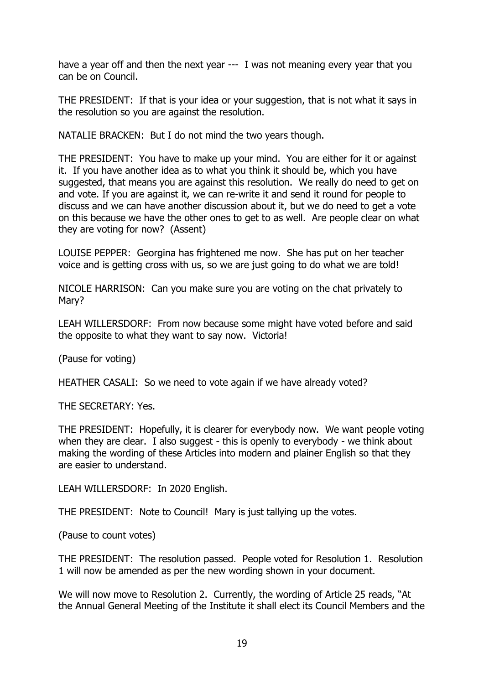have a year off and then the next year --- I was not meaning every year that you can be on Council.

THE PRESIDENT: If that is your idea or your suggestion, that is not what it says in the resolution so you are against the resolution.

NATALIE BRACKEN: But I do not mind the two years though.

THE PRESIDENT: You have to make up your mind. You are either for it or against it. If you have another idea as to what you think it should be, which you have suggested, that means you are against this resolution. We really do need to get on and vote. If you are against it, we can re-write it and send it round for people to discuss and we can have another discussion about it, but we do need to get a vote on this because we have the other ones to get to as well. Are people clear on what they are voting for now? (Assent)

LOUISE PEPPER: Georgina has frightened me now. She has put on her teacher voice and is getting cross with us, so we are just going to do what we are told!

NICOLE HARRISON: Can you make sure you are voting on the chat privately to Mary?

LEAH WILLERSDORF: From now because some might have voted before and said the opposite to what they want to say now. Victoria!

(Pause for voting)

HEATHER CASALI: So we need to vote again if we have already voted?

THE SECRETARY: Yes.

THE PRESIDENT: Hopefully, it is clearer for everybody now. We want people voting when they are clear. I also suggest - this is openly to everybody - we think about making the wording of these Articles into modern and plainer English so that they are easier to understand.

LEAH WILLERSDORF: In 2020 English.

THE PRESIDENT: Note to Council! Mary is just tallying up the votes.

(Pause to count votes)

THE PRESIDENT: The resolution passed. People voted for Resolution 1. Resolution 1 will now be amended as per the new wording shown in your document.

We will now move to Resolution 2. Currently, the wording of Article 25 reads, "At the Annual General Meeting of the Institute it shall elect its Council Members and the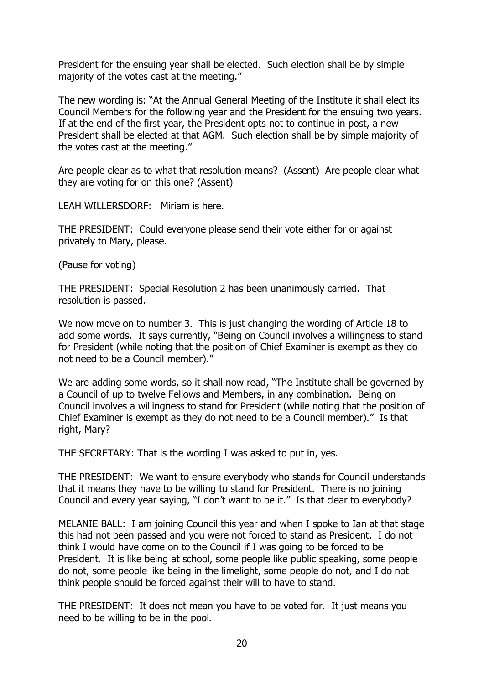President for the ensuing year shall be elected. Such election shall be by simple majority of the votes cast at the meeting."

The new wording is: "At the Annual General Meeting of the Institute it shall elect its Council Members for the following year and the President for the ensuing two years. If at the end of the first year, the President opts not to continue in post, a new President shall be elected at that AGM. Such election shall be by simple majority of the votes cast at the meeting."

Are people clear as to what that resolution means? (Assent) Are people clear what they are voting for on this one? (Assent)

LEAH WILLERSDORF: Miriam is here.

THE PRESIDENT: Could everyone please send their vote either for or against privately to Mary, please.

(Pause for voting)

THE PRESIDENT: Special Resolution 2 has been unanimously carried. That resolution is passed.

We now move on to number 3. This is just changing the wording of Article 18 to add some words. It says currently, "Being on Council involves a willingness to stand for President (while noting that the position of Chief Examiner is exempt as they do not need to be a Council member)."

We are adding some words, so it shall now read, "The Institute shall be governed by a Council of up to twelve Fellows and Members, in any combination. Being on Council involves a willingness to stand for President (while noting that the position of Chief Examiner is exempt as they do not need to be a Council member)." Is that right, Mary?

THE SECRETARY: That is the wording I was asked to put in, yes.

THE PRESIDENT: We want to ensure everybody who stands for Council understands that it means they have to be willing to stand for President. There is no joining Council and every year saying, "I don't want to be it." Is that clear to everybody?

MELANIE BALL: I am joining Council this year and when I spoke to Ian at that stage this had not been passed and you were not forced to stand as President. I do not think I would have come on to the Council if I was going to be forced to be President. It is like being at school, some people like public speaking, some people do not, some people like being in the limelight, some people do not, and I do not think people should be forced against their will to have to stand.

THE PRESIDENT: It does not mean you have to be voted for. It just means you need to be willing to be in the pool.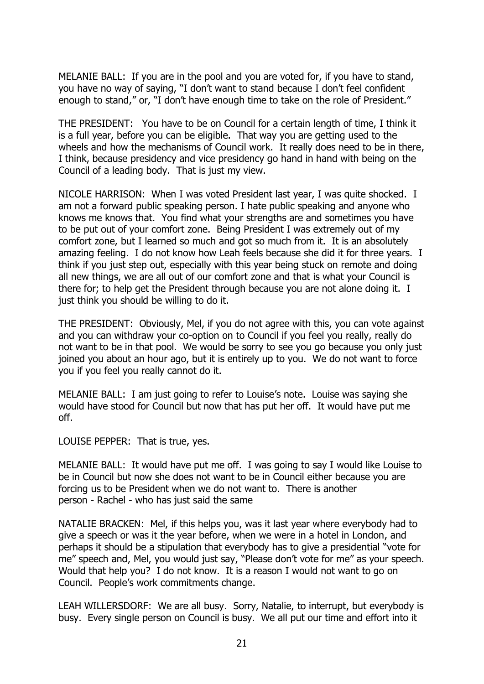MELANIE BALL: If you are in the pool and you are voted for, if you have to stand, you have no way of saying, "I don't want to stand because I don't feel confident enough to stand," or, "I don't have enough time to take on the role of President."

THE PRESIDENT: You have to be on Council for a certain length of time, I think it is a full year, before you can be eligible. That way you are getting used to the wheels and how the mechanisms of Council work. It really does need to be in there, I think, because presidency and vice presidency go hand in hand with being on the Council of a leading body. That is just my view.

NICOLE HARRISON: When I was voted President last year, I was quite shocked. I am not a forward public speaking person. I hate public speaking and anyone who knows me knows that. You find what your strengths are and sometimes you have to be put out of your comfort zone. Being President I was extremely out of my comfort zone, but I learned so much and got so much from it. It is an absolutely amazing feeling. I do not know how Leah feels because she did it for three years. I think if you just step out, especially with this year being stuck on remote and doing all new things, we are all out of our comfort zone and that is what your Council is there for; to help get the President through because you are not alone doing it. I just think you should be willing to do it.

THE PRESIDENT: Obviously, Mel, if you do not agree with this, you can vote against and you can withdraw your co-option on to Council if you feel you really, really do not want to be in that pool. We would be sorry to see you go because you only just joined you about an hour ago, but it is entirely up to you. We do not want to force you if you feel you really cannot do it.

MELANIE BALL: I am just going to refer to Louise's note. Louise was saying she would have stood for Council but now that has put her off. It would have put me off.

LOUISE PEPPER: That is true, yes.

MELANIE BALL: It would have put me off. I was going to say I would like Louise to be in Council but now she does not want to be in Council either because you are forcing us to be President when we do not want to. There is another person - Rachel - who has just said the same

NATALIE BRACKEN: Mel, if this helps you, was it last year where everybody had to give a speech or was it the year before, when we were in a hotel in London, and perhaps it should be a stipulation that everybody has to give a presidential "vote for me" speech and, Mel, you would just say, "Please don't vote for me" as your speech. Would that help you? I do not know. It is a reason I would not want to go on Council. People's work commitments change.

LEAH WILLERSDORF: We are all busy. Sorry, Natalie, to interrupt, but everybody is busy. Every single person on Council is busy. We all put our time and effort into it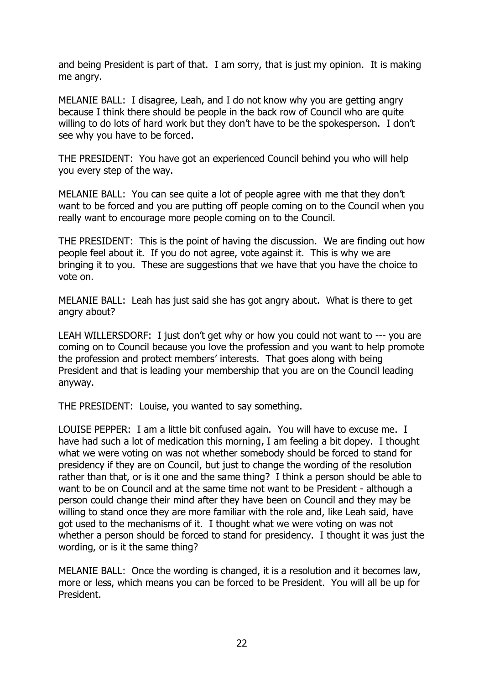and being President is part of that. I am sorry, that is just my opinion. It is making me angry.

MELANIE BALL: I disagree, Leah, and I do not know why you are getting angry because I think there should be people in the back row of Council who are quite willing to do lots of hard work but they don't have to be the spokesperson. I don't see why you have to be forced.

THE PRESIDENT: You have got an experienced Council behind you who will help you every step of the way.

MELANIE BALL: You can see quite a lot of people agree with me that they don't want to be forced and you are putting off people coming on to the Council when you really want to encourage more people coming on to the Council.

THE PRESIDENT: This is the point of having the discussion. We are finding out how people feel about it. If you do not agree, vote against it. This is why we are bringing it to you. These are suggestions that we have that you have the choice to vote on.

MELANIE BALL: Leah has just said she has got angry about. What is there to get angry about?

LEAH WILLERSDORF: I just don't get why or how you could not want to --- you are coming on to Council because you love the profession and you want to help promote the profession and protect members' interests. That goes along with being President and that is leading your membership that you are on the Council leading anyway.

THE PRESIDENT: Louise, you wanted to say something.

LOUISE PEPPER: I am a little bit confused again. You will have to excuse me. I have had such a lot of medication this morning, I am feeling a bit dopey. I thought what we were voting on was not whether somebody should be forced to stand for presidency if they are on Council, but just to change the wording of the resolution rather than that, or is it one and the same thing? I think a person should be able to want to be on Council and at the same time not want to be President - although a person could change their mind after they have been on Council and they may be willing to stand once they are more familiar with the role and, like Leah said, have got used to the mechanisms of it. I thought what we were voting on was not whether a person should be forced to stand for presidency. I thought it was just the wording, or is it the same thing?

MELANIE BALL: Once the wording is changed, it is a resolution and it becomes law, more or less, which means you can be forced to be President. You will all be up for President.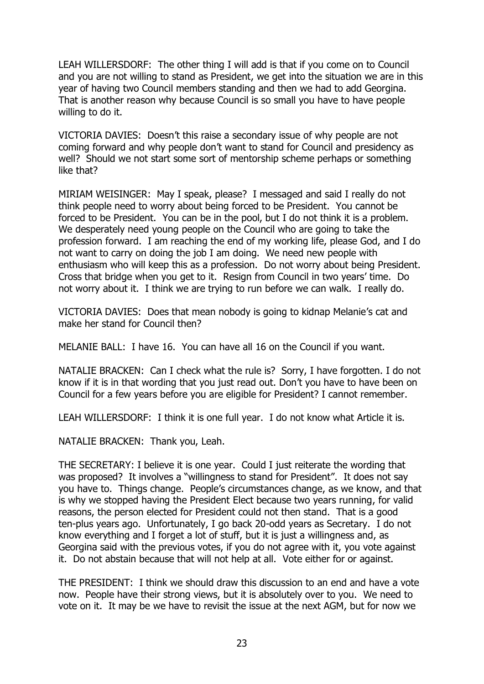LEAH WILLERSDORF: The other thing I will add is that if you come on to Council and you are not willing to stand as President, we get into the situation we are in this year of having two Council members standing and then we had to add Georgina. That is another reason why because Council is so small you have to have people willing to do it.

VICTORIA DAVIES: Doesn't this raise a secondary issue of why people are not coming forward and why people don't want to stand for Council and presidency as well? Should we not start some sort of mentorship scheme perhaps or something like that?

MIRIAM WEISINGER: May I speak, please? I messaged and said I really do not think people need to worry about being forced to be President. You cannot be forced to be President. You can be in the pool, but I do not think it is a problem. We desperately need young people on the Council who are going to take the profession forward. I am reaching the end of my working life, please God, and I do not want to carry on doing the job I am doing. We need new people with enthusiasm who will keep this as a profession. Do not worry about being President. Cross that bridge when you get to it. Resign from Council in two years' time. Do not worry about it. I think we are trying to run before we can walk. I really do.

VICTORIA DAVIES: Does that mean nobody is going to kidnap Melanie's cat and make her stand for Council then?

MELANIE BALL: I have 16. You can have all 16 on the Council if you want.

NATALIE BRACKEN: Can I check what the rule is? Sorry, I have forgotten. I do not know if it is in that wording that you just read out. Don't you have to have been on Council for a few years before you are eligible for President? I cannot remember.

LEAH WILLERSDORF: I think it is one full year. I do not know what Article it is.

NATALIE BRACKEN: Thank you, Leah.

THE SECRETARY: I believe it is one year. Could I just reiterate the wording that was proposed? It involves a "willingness to stand for President". It does not say you have to. Things change. People's circumstances change, as we know, and that is why we stopped having the President Elect because two years running, for valid reasons, the person elected for President could not then stand. That is a good ten-plus years ago. Unfortunately, I go back 20-odd years as Secretary. I do not know everything and I forget a lot of stuff, but it is just a willingness and, as Georgina said with the previous votes, if you do not agree with it, you vote against it. Do not abstain because that will not help at all. Vote either for or against.

THE PRESIDENT: I think we should draw this discussion to an end and have a vote now. People have their strong views, but it is absolutely over to you. We need to vote on it. It may be we have to revisit the issue at the next AGM, but for now we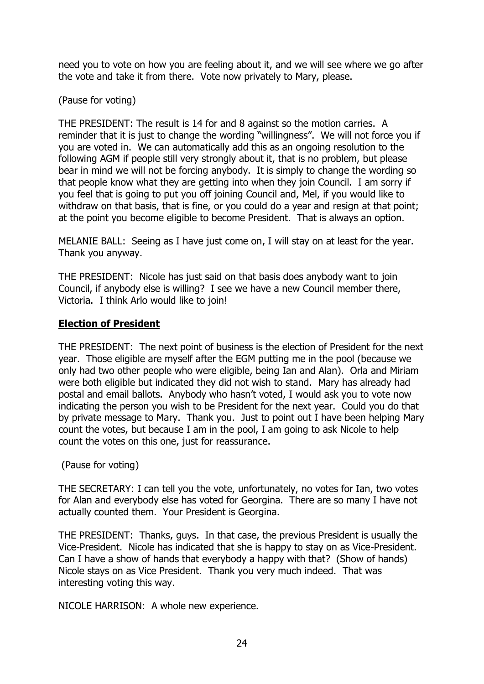need you to vote on how you are feeling about it, and we will see where we go after the vote and take it from there. Vote now privately to Mary, please.

## (Pause for voting)

THE PRESIDENT: The result is 14 for and 8 against so the motion carries. A reminder that it is just to change the wording "willingness". We will not force you if you are voted in. We can automatically add this as an ongoing resolution to the following AGM if people still very strongly about it, that is no problem, but please bear in mind we will not be forcing anybody. It is simply to change the wording so that people know what they are getting into when they join Council. I am sorry if you feel that is going to put you off joining Council and, Mel, if you would like to withdraw on that basis, that is fine, or you could do a year and resign at that point; at the point you become eligible to become President. That is always an option.

MELANIE BALL: Seeing as I have just come on, I will stay on at least for the year. Thank you anyway.

THE PRESIDENT: Nicole has just said on that basis does anybody want to join Council, if anybody else is willing? I see we have a new Council member there, Victoria. I think Arlo would like to join!

## **Election of President**

THE PRESIDENT: The next point of business is the election of President for the next year. Those eligible are myself after the EGM putting me in the pool (because we only had two other people who were eligible, being Ian and Alan). Orla and Miriam were both eligible but indicated they did not wish to stand. Mary has already had postal and email ballots. Anybody who hasn't voted, I would ask you to vote now indicating the person you wish to be President for the next year. Could you do that by private message to Mary. Thank you. Just to point out I have been helping Mary count the votes, but because I am in the pool, I am going to ask Nicole to help count the votes on this one, just for reassurance.

## (Pause for voting)

THE SECRETARY: I can tell you the vote, unfortunately, no votes for Ian, two votes for Alan and everybody else has voted for Georgina. There are so many I have not actually counted them. Your President is Georgina.

THE PRESIDENT: Thanks, guys. In that case, the previous President is usually the Vice-President. Nicole has indicated that she is happy to stay on as Vice-President. Can I have a show of hands that everybody a happy with that? (Show of hands) Nicole stays on as Vice President. Thank you very much indeed. That was interesting voting this way.

NICOLE HARRISON: A whole new experience.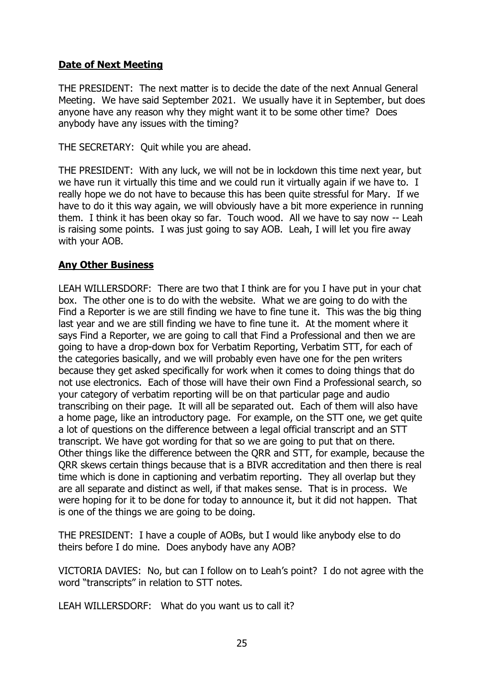## **Date of Next Meeting**

THE PRESIDENT: The next matter is to decide the date of the next Annual General Meeting. We have said September 2021. We usually have it in September, but does anyone have any reason why they might want it to be some other time? Does anybody have any issues with the timing?

THE SECRETARY: Quit while you are ahead.

THE PRESIDENT: With any luck, we will not be in lockdown this time next year, but we have run it virtually this time and we could run it virtually again if we have to. I really hope we do not have to because this has been quite stressful for Mary. If we have to do it this way again, we will obviously have a bit more experience in running them. I think it has been okay so far. Touch wood. All we have to say now -- Leah is raising some points. I was just going to say AOB. Leah, I will let you fire away with your AOB.

## **Any Other Business**

LEAH WILLERSDORF: There are two that I think are for you I have put in your chat box. The other one is to do with the website. What we are going to do with the Find a Reporter is we are still finding we have to fine tune it. This was the big thing last year and we are still finding we have to fine tune it. At the moment where it says Find a Reporter, we are going to call that Find a Professional and then we are going to have a drop-down box for Verbatim Reporting, Verbatim STT, for each of the categories basically, and we will probably even have one for the pen writers because they get asked specifically for work when it comes to doing things that do not use electronics. Each of those will have their own Find a Professional search, so your category of verbatim reporting will be on that particular page and audio transcribing on their page. It will all be separated out. Each of them will also have a home page, like an introductory page. For example, on the STT one, we get quite a lot of questions on the difference between a legal official transcript and an STT transcript. We have got wording for that so we are going to put that on there. Other things like the difference between the QRR and STT, for example, because the QRR skews certain things because that is a BIVR accreditation and then there is real time which is done in captioning and verbatim reporting. They all overlap but they are all separate and distinct as well, if that makes sense. That is in process. We were hoping for it to be done for today to announce it, but it did not happen. That is one of the things we are going to be doing.

THE PRESIDENT: I have a couple of AOBs, but I would like anybody else to do theirs before I do mine. Does anybody have any AOB?

VICTORIA DAVIES: No, but can I follow on to Leah's point? I do not agree with the word "transcripts" in relation to STT notes.

LEAH WILLERSDORF: What do you want us to call it?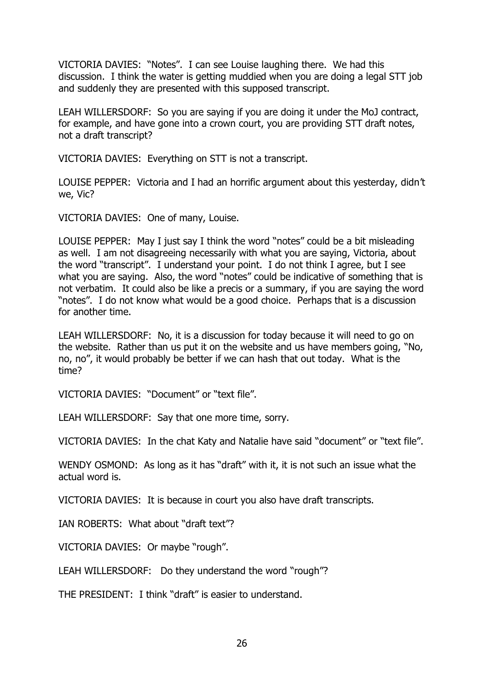VICTORIA DAVIES: "Notes". I can see Louise laughing there. We had this discussion. I think the water is getting muddied when you are doing a legal STT job and suddenly they are presented with this supposed transcript.

LEAH WILLERSDORF: So you are saying if you are doing it under the MoJ contract, for example, and have gone into a crown court, you are providing STT draft notes, not a draft transcript?

VICTORIA DAVIES: Everything on STT is not a transcript.

LOUISE PEPPER: Victoria and I had an horrific argument about this yesterday, didn't we, Vic?

VICTORIA DAVIES: One of many, Louise.

LOUISE PEPPER: May I just say I think the word "notes" could be a bit misleading as well. I am not disagreeing necessarily with what you are saying, Victoria, about the word "transcript". I understand your point. I do not think I agree, but I see what you are saying. Also, the word "notes" could be indicative of something that is not verbatim. It could also be like a precis or a summary, if you are saying the word "notes". I do not know what would be a good choice. Perhaps that is a discussion for another time.

LEAH WILLERSDORF: No, it is a discussion for today because it will need to go on the website. Rather than us put it on the website and us have members going, "No, no, no", it would probably be better if we can hash that out today. What is the time?

VICTORIA DAVIES: "Document" or "text file".

LEAH WILLERSDORF: Say that one more time, sorry.

VICTORIA DAVIES: In the chat Katy and Natalie have said "document" or "text file".

WENDY OSMOND: As long as it has "draft" with it, it is not such an issue what the actual word is.

VICTORIA DAVIES: It is because in court you also have draft transcripts.

IAN ROBERTS: What about "draft text"?

VICTORIA DAVIES: Or maybe "rough".

LEAH WILLERSDORF: Do they understand the word "rough"?

THE PRESIDENT: I think "draft" is easier to understand.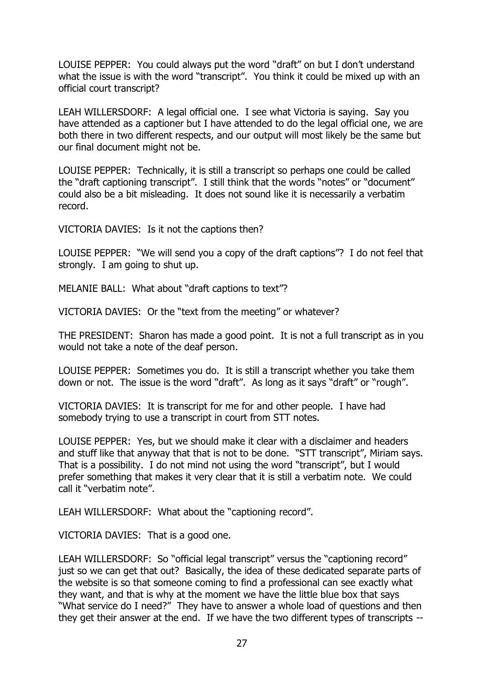LOUISE PEPPER: You could always put the word "draft" on but I don't understand what the issue is with the word "transcript". You think it could be mixed up with an official court transcript?

LEAH WILLERSDORF: A legal official one. I see what Victoria is saying. Say you have attended as a captioner but I have attended to do the legal official one, we are both there in two different respects, and our output will most likely be the same but our final document might not be.

LOUISE PEPPER: Technically, it is still a transcript so perhaps one could be called the "draft captioning transcript". I still think that the words "notes" or "document" could also be a bit misleading. It does not sound like it is necessarily a verbatim record.

VICTORIA DAVIES: Is it not the captions then?

LOUISE PEPPER: "We will send you a copy of the draft captions"? I do not feel that strongly. I am going to shut up.

MELANIE BALL: What about "draft captions to text"?

VICTORIA DAVIES: Or the "text from the meeting" or whatever?

THE PRESIDENT: Sharon has made a good point. It is not a full transcript as in you would not take a note of the deaf person.

LOUISE PEPPER: Sometimes you do. It is still a transcript whether you take them down or not. The issue is the word "draft". As long as it says "draft" or "rough".

VICTORIA DAVIES: It is transcript for me for and other people. I have had somebody trying to use a transcript in court from STT notes.

LOUISE PEPPER: Yes, but we should make it clear with a disclaimer and headers and stuff like that anyway that that is not to be done. "STT transcript", Miriam says. That is a possibility. I do not mind not using the word "transcript", but I would prefer something that makes it very clear that it is still a verbatim note. We could call it "verbatim note".

LEAH WILLERSDORF: What about the "captioning record".

VICTORIA DAVIES: That is a good one.

LEAH WILLERSDORF: So "official legal transcript" versus the "captioning record" just so we can get that out? Basically, the idea of these dedicated separate parts of the website is so that someone coming to find a professional can see exactly what they want, and that is why at the moment we have the little blue box that says "What service do I need?" They have to answer a whole load of questions and then they get their answer at the end. If we have the two different types of transcripts --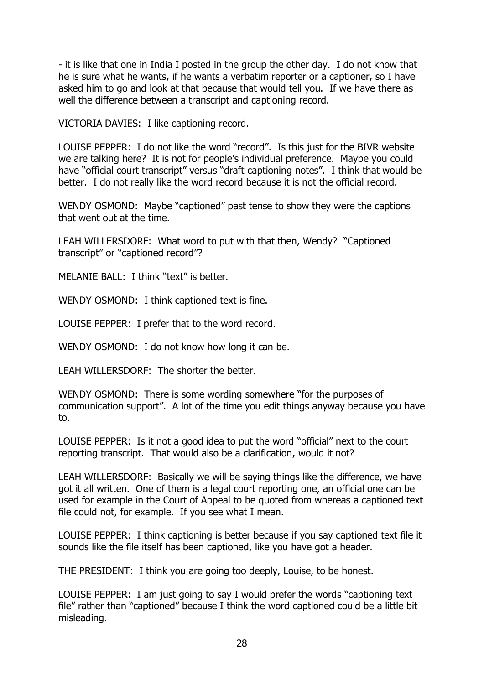- it is like that one in India I posted in the group the other day. I do not know that he is sure what he wants, if he wants a verbatim reporter or a captioner, so I have asked him to go and look at that because that would tell you. If we have there as well the difference between a transcript and captioning record.

VICTORIA DAVIES: I like captioning record.

LOUISE PEPPER: I do not like the word "record". Is this just for the BIVR website we are talking here? It is not for people's individual preference. Maybe you could have "official court transcript" versus "draft captioning notes". I think that would be better. I do not really like the word record because it is not the official record.

WENDY OSMOND: Maybe "captioned" past tense to show they were the captions that went out at the time.

LEAH WILLERSDORF: What word to put with that then, Wendy? "Captioned transcript" or "captioned record"?

MELANIE BALL: I think "text" is better.

WENDY OSMOND: I think captioned text is fine.

LOUISE PEPPER: I prefer that to the word record.

WENDY OSMOND: I do not know how long it can be.

LEAH WILLERSDORF: The shorter the better.

WENDY OSMOND: There is some wording somewhere "for the purposes of communication support". A lot of the time you edit things anyway because you have to.

LOUISE PEPPER: Is it not a good idea to put the word "official" next to the court reporting transcript. That would also be a clarification, would it not?

LEAH WILLERSDORF: Basically we will be saying things like the difference, we have got it all written. One of them is a legal court reporting one, an official one can be used for example in the Court of Appeal to be quoted from whereas a captioned text file could not, for example. If you see what I mean.

LOUISE PEPPER: I think captioning is better because if you say captioned text file it sounds like the file itself has been captioned, like you have got a header.

THE PRESIDENT: I think you are going too deeply, Louise, to be honest.

LOUISE PEPPER: I am just going to say I would prefer the words "captioning text file" rather than "captioned" because I think the word captioned could be a little bit misleading.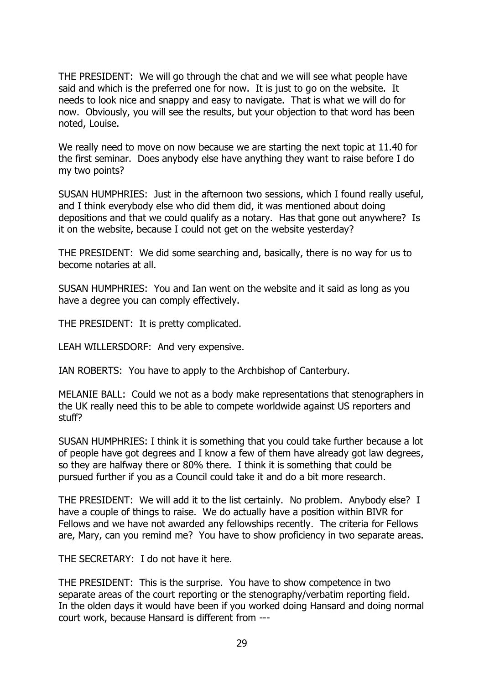THE PRESIDENT: We will go through the chat and we will see what people have said and which is the preferred one for now. It is just to go on the website. It needs to look nice and snappy and easy to navigate. That is what we will do for now. Obviously, you will see the results, but your objection to that word has been noted, Louise.

We really need to move on now because we are starting the next topic at 11.40 for the first seminar. Does anybody else have anything they want to raise before I do my two points?

SUSAN HUMPHRIES: Just in the afternoon two sessions, which I found really useful, and I think everybody else who did them did, it was mentioned about doing depositions and that we could qualify as a notary. Has that gone out anywhere? Is it on the website, because I could not get on the website yesterday?

THE PRESIDENT: We did some searching and, basically, there is no way for us to become notaries at all.

SUSAN HUMPHRIES: You and Ian went on the website and it said as long as you have a degree you can comply effectively.

THE PRESIDENT: It is pretty complicated.

LEAH WILLERSDORF: And very expensive.

IAN ROBERTS: You have to apply to the Archbishop of Canterbury.

MELANIE BALL: Could we not as a body make representations that stenographers in the UK really need this to be able to compete worldwide against US reporters and stuff?

SUSAN HUMPHRIES: I think it is something that you could take further because a lot of people have got degrees and I know a few of them have already got law degrees, so they are halfway there or 80% there. I think it is something that could be pursued further if you as a Council could take it and do a bit more research.

THE PRESIDENT: We will add it to the list certainly. No problem. Anybody else? I have a couple of things to raise. We do actually have a position within BIVR for Fellows and we have not awarded any fellowships recently. The criteria for Fellows are, Mary, can you remind me? You have to show proficiency in two separate areas.

THE SECRETARY: I do not have it here.

THE PRESIDENT: This is the surprise. You have to show competence in two separate areas of the court reporting or the stenography/verbatim reporting field. In the olden days it would have been if you worked doing Hansard and doing normal court work, because Hansard is different from ---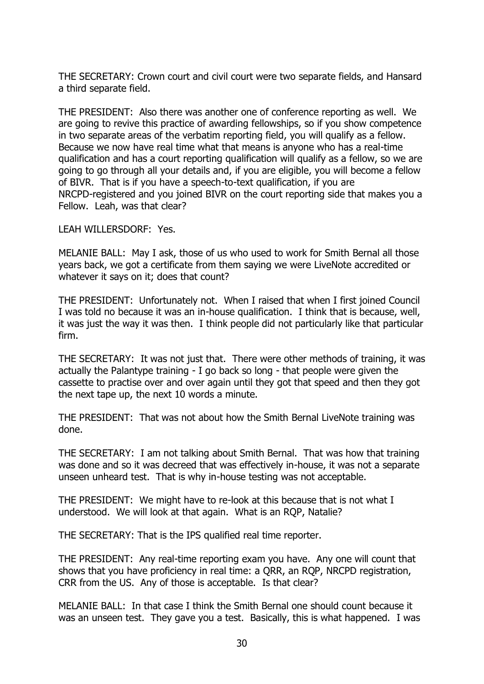THE SECRETARY: Crown court and civil court were two separate fields, and Hansard a third separate field.

THE PRESIDENT: Also there was another one of conference reporting as well. We are going to revive this practice of awarding fellowships, so if you show competence in two separate areas of the verbatim reporting field, you will qualify as a fellow. Because we now have real time what that means is anyone who has a real-time qualification and has a court reporting qualification will qualify as a fellow, so we are going to go through all your details and, if you are eligible, you will become a fellow of BIVR. That is if you have a speech-to-text qualification, if you are NRCPD-registered and you joined BIVR on the court reporting side that makes you a Fellow. Leah, was that clear?

LEAH WILLERSDORF: Yes.

MELANIE BALL: May I ask, those of us who used to work for Smith Bernal all those years back, we got a certificate from them saying we were LiveNote accredited or whatever it says on it; does that count?

THE PRESIDENT: Unfortunately not. When I raised that when I first joined Council I was told no because it was an in-house qualification. I think that is because, well, it was just the way it was then. I think people did not particularly like that particular firm.

THE SECRETARY: It was not just that. There were other methods of training, it was actually the Palantype training - I go back so long - that people were given the cassette to practise over and over again until they got that speed and then they got the next tape up, the next 10 words a minute.

THE PRESIDENT: That was not about how the Smith Bernal LiveNote training was done.

THE SECRETARY: I am not talking about Smith Bernal. That was how that training was done and so it was decreed that was effectively in-house, it was not a separate unseen unheard test. That is why in-house testing was not acceptable.

THE PRESIDENT: We might have to re-look at this because that is not what I understood. We will look at that again. What is an RQP, Natalie?

THE SECRETARY: That is the IPS qualified real time reporter.

THE PRESIDENT: Any real-time reporting exam you have. Any one will count that shows that you have proficiency in real time: a QRR, an RQP, NRCPD registration, CRR from the US. Any of those is acceptable. Is that clear?

MELANIE BALL: In that case I think the Smith Bernal one should count because it was an unseen test. They gave you a test. Basically, this is what happened. I was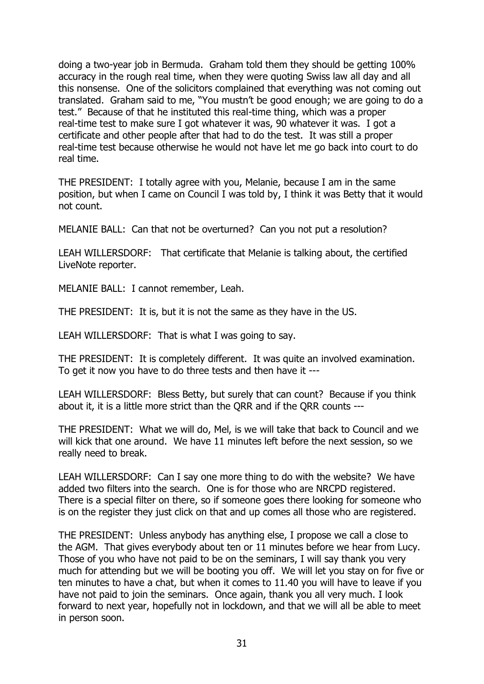doing a two-year job in Bermuda. Graham told them they should be getting 100% accuracy in the rough real time, when they were quoting Swiss law all day and all this nonsense. One of the solicitors complained that everything was not coming out translated. Graham said to me, "You mustn't be good enough; we are going to do a test." Because of that he instituted this real-time thing, which was a proper real-time test to make sure I got whatever it was, 90 whatever it was. I got a certificate and other people after that had to do the test. It was still a proper real-time test because otherwise he would not have let me go back into court to do real time.

THE PRESIDENT: I totally agree with you, Melanie, because I am in the same position, but when I came on Council I was told by, I think it was Betty that it would not count.

MELANIE BALL: Can that not be overturned? Can you not put a resolution?

LEAH WILLERSDORF: That certificate that Melanie is talking about, the certified LiveNote reporter.

MELANIE BALL: I cannot remember, Leah.

THE PRESIDENT: It is, but it is not the same as they have in the US.

LEAH WILLERSDORF: That is what I was going to say.

THE PRESIDENT: It is completely different. It was quite an involved examination. To get it now you have to do three tests and then have it ---

LEAH WILLERSDORF: Bless Betty, but surely that can count? Because if you think about it, it is a little more strict than the QRR and if the QRR counts ---

THE PRESIDENT: What we will do, Mel, is we will take that back to Council and we will kick that one around. We have 11 minutes left before the next session, so we really need to break.

LEAH WILLERSDORF: Can I say one more thing to do with the website? We have added two filters into the search. One is for those who are NRCPD registered. There is a special filter on there, so if someone goes there looking for someone who is on the register they just click on that and up comes all those who are registered.

THE PRESIDENT: Unless anybody has anything else, I propose we call a close to the AGM. That gives everybody about ten or 11 minutes before we hear from Lucy. Those of you who have not paid to be on the seminars, I will say thank you very much for attending but we will be booting you off. We will let you stay on for five or ten minutes to have a chat, but when it comes to 11.40 you will have to leave if you have not paid to join the seminars. Once again, thank you all very much. I look forward to next year, hopefully not in lockdown, and that we will all be able to meet in person soon.